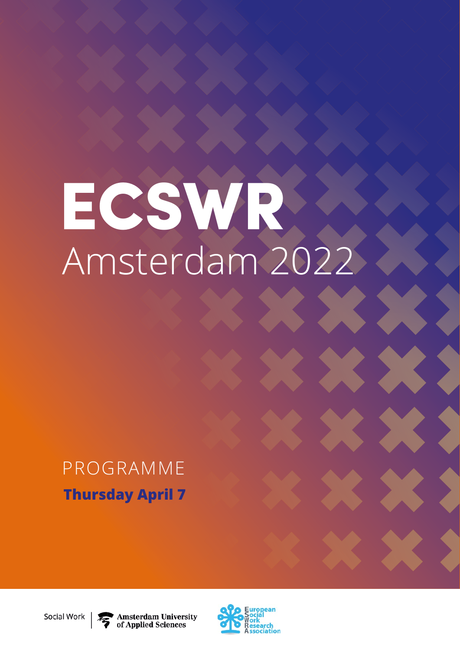# ECSWR Amsterdam 2022

# PROGRAMME **Thursday April 7**

**Amsterdam University** of Applied Sciences



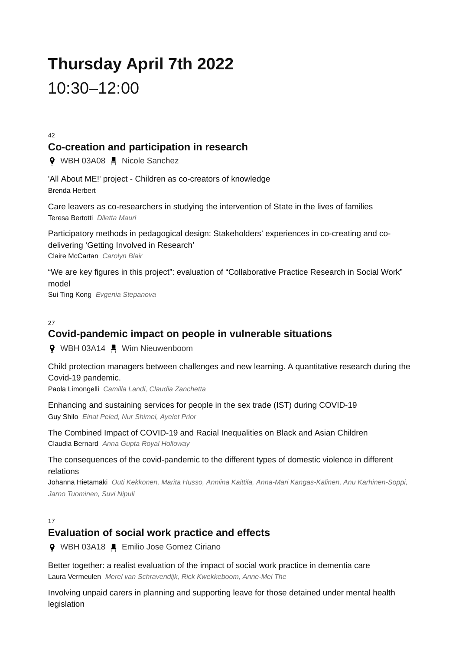# **Thursday April 7th 2022** 10:30–12:00

42

## **Co-creation and participation in research**

**9** WBH 03A08 H Nicole Sanchez

'All About ME!' project - Children as co-creators of knowledge Brenda Herbert

Care leavers as co-researchers in studying the intervention of State in the lives of families Teresa Bertotti *Diletta Mauri*

Participatory methods in pedagogical design: Stakeholders' experiences in co-creating and codelivering 'Getting Involved in Research' Claire McCartan *Carolyn Blair*

"We are key figures in this project": evaluation of "Collaborative Practice Research in Social Work" model Sui Ting Kong *Evgenia Stepanova*

## 27 **Covid-pandemic impact on people in vulnerable situations**

**9** WBH 03A14 Mim Nieuwenboom

Child protection managers between challenges and new learning. A quantitative research during the Covid-19 pandemic.

Paola Limongelli *Camilla Landi, Claudia Zanchetta*

Enhancing and sustaining services for people in the sex trade (IST) during COVID-19 Guy Shilo *Einat Peled, Nur Shimei, Ayelet Prior*

The Combined Impact of COVID-19 and Racial Inequalities on Black and Asian Children Claudia Bernard *Anna Gupta Royal Holloway*

The consequences of the covid-pandemic to the different types of domestic violence in different relations

Johanna Hietamäki *Outi Kekkonen, Marita Husso, Anniina Kaittila, Anna-Mari Kangas-Kalinen, Anu Karhinen-Soppi, Jarno Tuominen, Suvi Nipuli*

17

## **Evaluation of social work practice and effects**

WBH 03A18 Emilio Jose Gomez Ciriano

Better together: a realist evaluation of the impact of social work practice in dementia care Laura Vermeulen *Merel van Schravendijk, Rick Kwekkeboom, Anne-Mei The*

Involving unpaid carers in planning and supporting leave for those detained under mental health legislation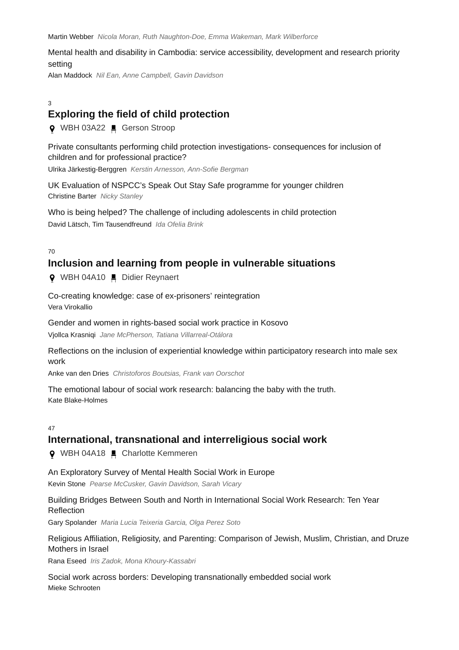Martin Webber *Nicola Moran, Ruth Naughton-Doe, Emma Wakeman, Mark Wilberforce*

Mental health and disability in Cambodia: service accessibility, development and research priority setting

Alan Maddock *Nil Ean, Anne Campbell, Gavin Davidson*

#### 3

## **Exploring the field of child protection**

**Q** WBH 03A22 ■ Gerson Stroop

Private consultants performing child protection investigations- consequences for inclusion of children and for professional practice?

Ulrika Järkestig-Berggren *Kerstin Arnesson, Ann-Sofie Bergman*

UK Evaluation of NSPCC's Speak Out Stay Safe programme for younger children Christine Barter *Nicky Stanley*

Who is being helped? The challenge of including adolescents in child protection David Lätsch, Tim Tausendfreund *Ida Ofelia Brink*

70

## **Inclusion and learning from people in vulnerable situations**

**Q** WBH 04A10 ■ Didier Reynaert

Co-creating knowledge: case of ex-prisoners' reintegration Vera Virokallio

Gender and women in rights-based social work practice in Kosovo

Vjollca Krasniqi *Jane McPherson, Tatiana Villarreal-Otálora*

Reflections on the inclusion of experiential knowledge within participatory research into male sex work

Anke van den Dries *Christoforos Boutsias, Frank van Oorschot*

The emotional labour of social work research: balancing the baby with the truth. Kate Blake-Holmes

#### $47$

## **International, transnational and interreligious social work**

**Q** WBH 04A18 **■** Charlotte Kemmeren

#### An Exploratory Survey of Mental Health Social Work in Europe

Kevin Stone *Pearse McCusker, Gavin Davidson, Sarah Vicary*

### Building Bridges Between South and North in International Social Work Research: Ten Year Reflection

Gary Spolander *Maria Lucia Teixeria Garcia, Olga Perez Soto*

## Religious Affiliation, Religiosity, and Parenting: Comparison of Jewish, Muslim, Christian, and Druze Mothers in Israel

Rana Eseed *Iris Zadok, Mona Khoury-Kassabri*

Social work across borders: Developing transnationally embedded social work Mieke Schrooten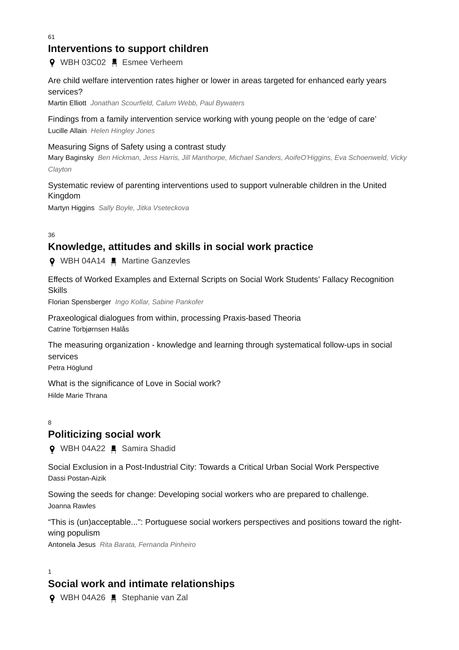## **Interventions to support children**

**9** WBH 03C02 . Esmee Verheem

## Are child welfare intervention rates higher or lower in areas targeted for enhanced early years services?

Martin Elliott *Jonathan Scourfield, Calum Webb, Paul Bywaters*

## Findings from a family intervention service working with young people on the 'edge of care'

Lucille Allain *Helen Hingley Jones*

### Measuring Signs of Safety using a contrast study

Mary Baginsky *Ben Hickman, Jess Harris, Jill Manthorpe, Michael Sanders, AoifeO'Higgins, Eva Schoenweld, Vicky Clayton*

## Systematic review of parenting interventions used to support vulnerable children in the United Kingdom

Martyn Higgins *Sally Boyle, Jitka Vseteckova*

36

## **Knowledge, attitudes and skills in social work practice**

**9** WBH 04A14 ■ Martine Ganzevles

Effects of Worked Examples and External Scripts on Social Work Students' Fallacy Recognition **Skills** 

Florian Spensberger *Ingo Kollar, Sabine Pankofer*

Praxeological dialogues from within, processing Praxis-based Theoria Catrine Torbjørnsen Halås

The measuring organization - knowledge and learning through systematical follow-ups in social services

Petra Höglund

What is the significance of Love in Social work? Hilde Marie Thrana

#### 8

## **Politicizing social work**

**Q** WBH 04A22 **■** Samira Shadid

Social Exclusion in a Post-Industrial City: Towards a Critical Urban Social Work Perspective Dassi Postan-Aizik

Sowing the seeds for change: Developing social workers who are prepared to challenge. Joanna Rawles

"This is (un)acceptable...": Portuguese social workers perspectives and positions toward the rightwing populism

Antonela Jesus *Rita Barata, Fernanda Pinheiro*

1

## **Social work and intimate relationships**

**Q** WBH 04A26 ■ Stephanie van Zal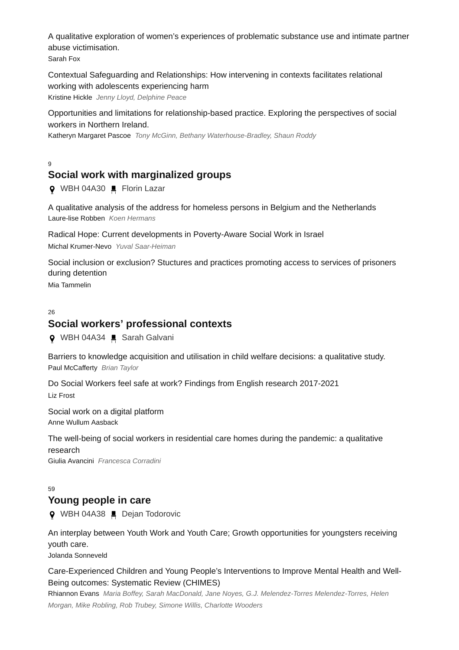A qualitative exploration of women's experiences of problematic substance use and intimate partner abuse victimisation. Sarah Fox

Contextual Safeguarding and Relationships: How intervening in contexts facilitates relational working with adolescents experiencing harm Kristine Hickle *Jenny Lloyd, Delphine Peace*

Opportunities and limitations for relationship-based practice. Exploring the perspectives of social workers in Northern Ireland.

Katheryn Margaret Pascoe *Tony McGinn, Bethany Waterhouse-Bradley, Shaun Roddy*

 $\alpha$ 

## **Social work with marginalized groups**

**Q** WBH 04A30 ■ Florin Lazar

A qualitative analysis of the address for homeless persons in Belgium and the Netherlands Laure-lise Robben *Koen Hermans*

Radical Hope: Current developments in Poverty-Aware Social Work in Israel Michal Krumer-Nevo *Yuval Saar-Heiman*

Social inclusion or exclusion? Stuctures and practices promoting access to services of prisoners during detention

Mia Tammelin

#### 26

## **Social workers' professional contexts**

**Q** WBH 04A34 ■ Sarah Galvani

Barriers to knowledge acquisition and utilisation in child welfare decisions: a qualitative study. Paul McCafferty *Brian Taylor*

Do Social Workers feel safe at work? Findings from English research 2017-2021 Liz Frost

Social work on a digital platform Anne Wullum Aasback

The well-being of social workers in residential care homes during the pandemic: a qualitative research Giulia Avancini *Francesca Corradini*

 $59$ 

## **Young people in care**

**Q** WBH 04A38 ■ Dejan Todorovic

An interplay between Youth Work and Youth Care; Growth opportunities for youngsters receiving youth care.

Jolanda Sonneveld

Care-Experienced Children and Young People's Interventions to Improve Mental Health and Well-Being outcomes: Systematic Review (CHIMES)

Rhiannon Evans *Maria Boffey, Sarah MacDonald, Jane Noyes, G.J. Melendez-Torres Melendez-Torres, Helen Morgan, Mike Robling, Rob Trubey, Simone Willis, Charlotte Wooders*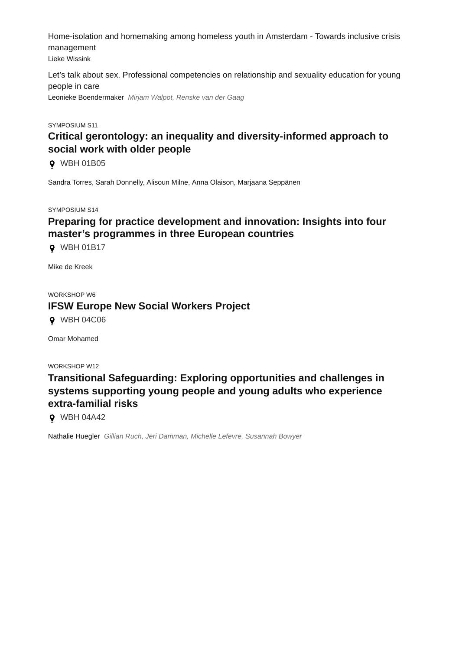Home-isolation and homemaking among homeless youth in Amsterdam - Towards inclusive crisis management

Lieke Wissink

Let's talk about sex. Professional competencies on relationship and sexuality education for young people in care

Leonieke Boendermaker *Mirjam Walpot, Renske van der Gaag*

#### SYMPOSIUM S11

## **Critical gerontology: an inequality and diversity-informed approach to social work with older people**

WBH 01B05

Sandra Torres, Sarah Donnelly, Alisoun Milne, Anna Olaison, Marjaana Seppänen

SYMPOSIUM S14

## **Preparing for practice development and innovation: Insights into four master's programmes in three European countries**

WBH 01B17

Mike de Kreek

## WORKSHOP W6 **IFSW Europe New Social Workers Project**

**9** WBH 04C06

Omar Mohamed

WORKSHOP W12

## **Transitional Safeguarding: Exploring opportunities and challenges in systems supporting young people and young adults who experience extra-familial risks**

WBH 04A42

Nathalie Huegler *Gillian Ruch, Jeri Damman, Michelle Lefevre, Susannah Bowyer*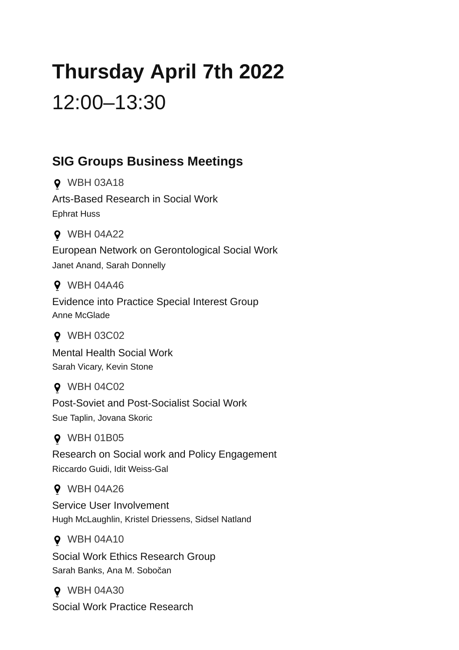# **Thursday April 7th 2022** 12:00–13:30

## **SIG Groups Business Meetings**

WBH 03A18 Arts-Based Research in Social Work Ephrat Huss

WBH 04A22 European Network on Gerontological Social Work Janet Anand, Sarah Donnelly

**9** WBH 04A46 Evidence into Practice Special Interest Group Anne McGlade

**Q** WBH 03C02 Mental Health Social Work

Sarah Vicary, Kevin Stone

**Q** WBH 04C02 Post-Soviet and Post-Socialist Social Work Sue Taplin, Jovana Skoric

**Q** WBH 01B05

Research on Social work and Policy Engagement Riccardo Guidi, Idit Weiss-Gal

**9** WBH 04A26

Service User Involvement Hugh McLaughlin, Kristel Driessens, Sidsel Natland

**9 WBH 04A10** 

Social Work Ethics Research Group Sarah Banks, Ana M. Sobočan

**Q** WBH 04A30 Social Work Practice Research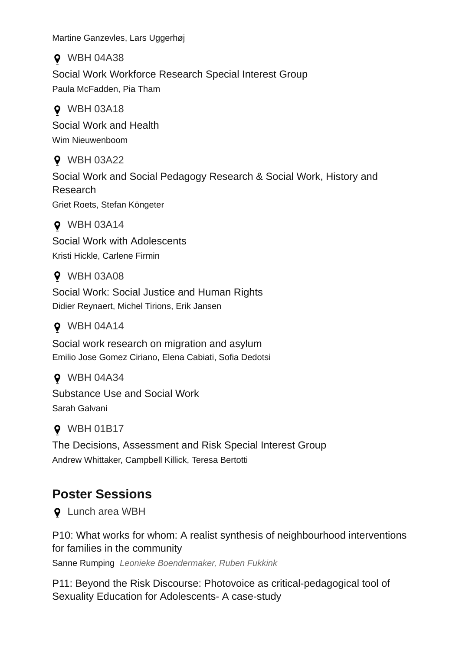Martine Ganzevles, Lars Uggerhøj

WBH 04A38 Social Work Workforce Research Special Interest Group Paula McFadden, Pia Tham

**Q** WBH 03A18 Social Work and Health Wim Nieuwenboom

**9** WBH 03A22 Social Work and Social Pedagogy Research & Social Work, History and Research Griet Roets, Stefan Köngeter

WBH 03A14 Social Work with Adolescents Kristi Hickle, Carlene Firmin

**9** WBH 03A08

Social Work: Social Justice and Human Rights Didier Reynaert, Michel Tirions, Erik Jansen

## **9** WBH 04A14

Social work research on migration and asylum Emilio Jose Gomez Ciriano, Elena Cabiati, Sofia Dedotsi

WBH 04A34 Substance Use and Social Work Sarah Galvani

## **Q** WBH 01B17

The Decisions, Assessment and Risk Special Interest Group Andrew Whittaker, Campbell Killick, Teresa Bertotti

## **Poster Sessions**

Lunch area WBH

P10: What works for whom: A realist synthesis of neighbourhood interventions for families in the community

Sanne Rumping *Leonieke Boendermaker, Ruben Fukkink*

P11: Beyond the Risk Discourse: Photovoice as critical-pedagogical tool of Sexuality Education for Adolescents- A case-study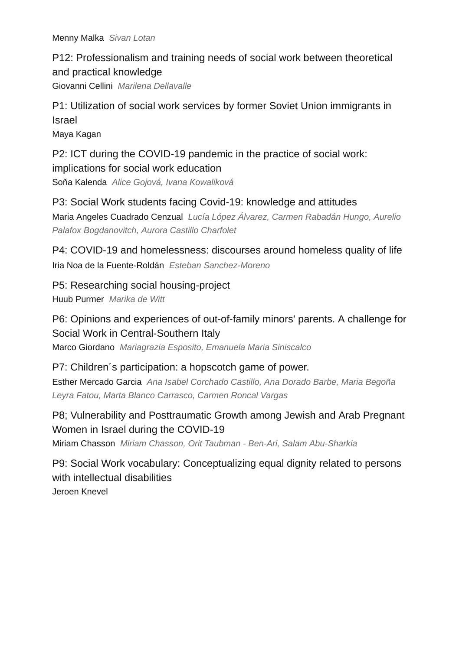Menny Malka *Sivan Lotan*

P12: Professionalism and training needs of social work between theoretical and practical knowledge Giovanni Cellini *Marilena Dellavalle*

## P1: Utilization of social work services by former Soviet Union immigrants in Israel

Maya Kagan

P2: ICT during the COVID-19 pandemic in the practice of social work: implications for social work education

Soňa Kalenda *Alice Gojová, Ivana Kowaliková*

P3: Social Work students facing Covid-19: knowledge and attitudes Maria Angeles Cuadrado Cenzual *Lucía López Álvarez, Carmen Rabadán Hungo, Aurelio Palafox Bogdanovitch, Aurora Castillo Charfolet*

P4: COVID-19 and homelessness: discourses around homeless quality of life Iria Noa de la Fuente-Roldán *Esteban Sanchez-Moreno*

P5: Researching social housing-project Huub Purmer *Marika de Witt*

## P6: Opinions and experiences of out-of-family minors' parents. A challenge for Social Work in Central-Southern Italy

Marco Giordano *Mariagrazia Esposito, Emanuela Maria Siniscalco*

P7: Children´s participation: a hopscotch game of power. Esther Mercado Garcia *Ana Isabel Corchado Castillo, Ana Dorado Barbe, Maria Begoña Leyra Fatou, Marta Blanco Carrasco, Carmen Roncal Vargas*

## P8; Vulnerability and Posttraumatic Growth among Jewish and Arab Pregnant Women in Israel during the COVID-19

Miriam Chasson *Miriam Chasson, Orit Taubman - Ben-Ari, Salam Abu-Sharkia*

P9: Social Work vocabulary: Conceptualizing equal dignity related to persons with intellectual disabilities Jeroen Knevel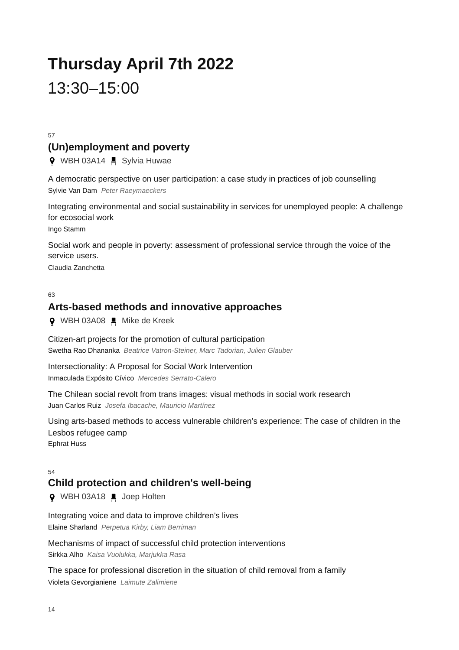# **Thursday April 7th 2022** 13:30–15:00

57

## **(Un)employment and poverty**

**9** WBH 03A14 **.** Sylvia Huwae

A democratic perspective on user participation: a case study in practices of job counselling Sylvie Van Dam *Peter Raeymaeckers*

Integrating environmental and social sustainability in services for unemployed people: A challenge for ecosocial work

Ingo Stamm

Social work and people in poverty: assessment of professional service through the voice of the service users.

Claudia Zanchetta

#### $62$

## **Arts-based methods and innovative approaches**

**Q** WBH 03A08 ■ Mike de Kreek

Citizen-art projects for the promotion of cultural participation Swetha Rao Dhananka *Beatrice Vatron-Steiner, Marc Tadorian, Julien Glauber*

Intersectionality: A Proposal for Social Work Intervention Inmaculada Expósito Cívico *Mercedes Serrato-Calero*

The Chilean social revolt from trans images: visual methods in social work research Juan Carlos Ruiz *Josefa Ibacache, Mauricio Martínez*

Using arts-based methods to access vulnerable children's experience: The case of children in the Lesbos refugee camp Ephrat Huss

## **Child protection and children's well-being**

**Q** WBH 03A18 ■ Joep Holten

Integrating voice and data to improve children's lives Elaine Sharland *Perpetua Kirby, Liam Berriman*

Mechanisms of impact of successful child protection interventions Sirkka Alho *Kaisa Vuolukka, Marjukka Rasa*

The space for professional discretion in the situation of child removal from a family Violeta Gevorgianiene *Laimute Zalimiene*

E 4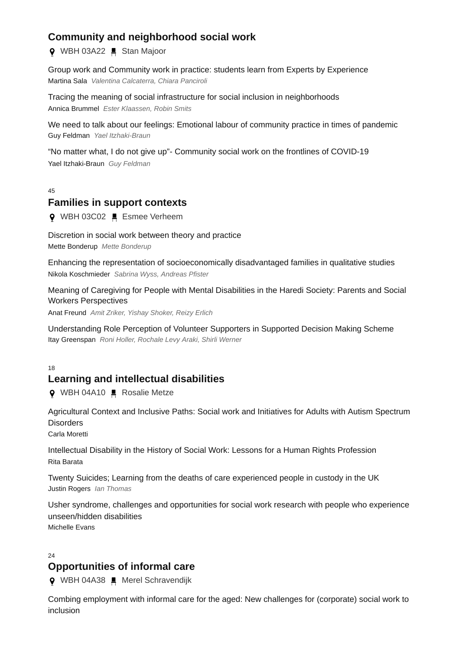## **Community and neighborhood social work**

**Q** WBH 03A22 ■ Stan Majoor

Group work and Community work in practice: students learn from Experts by Experience Martina Sala *Valentina Calcaterra, Chiara Panciroli*

Tracing the meaning of social infrastructure for social inclusion in neighborhoods Annica Brummel *Ester Klaassen, Robin Smits*

We need to talk about our feelings: Emotional labour of community practice in times of pandemic Guy Feldman *Yael Itzhaki-Braun*

"No matter what, I do not give up"- Community social work on the frontlines of COVID-19 Yael Itzhaki-Braun *Guy Feldman*

45

## **Families in support contexts**

**Q** WBH 03C02 ■ Esmee Verheem

Discretion in social work between theory and practice Mette Bonderup *Mette Bonderup*

Enhancing the representation of socioeconomically disadvantaged families in qualitative studies Nikola Koschmieder *Sabrina Wyss, Andreas Pfister*

Meaning of Caregiving for People with Mental Disabilities in the Haredi Society: Parents and Social Workers Perspectives

Anat Freund *Amit Zriker, Yishay Shoker, Reizy Erlich*

Understanding Role Perception of Volunteer Supporters in Supported Decision Making Scheme Itay Greenspan *Roni Holler, Rochale Levy Araki, Shirli Werner*

18

## **Learning and intellectual disabilities**

**♀** WBH 04A10 ■ Rosalie Metze

Agricultural Context and Inclusive Paths: Social work and Initiatives for Adults with Autism Spectrum **Disorders** 

Carla Moretti

Intellectual Disability in the History of Social Work: Lessons for a Human Rights Profession Rita Barata

Twenty Suicides; Learning from the deaths of care experienced people in custody in the UK Justin Rogers *Ian Thomas*

Usher syndrome, challenges and opportunities for social work research with people who experience unseen/hidden disabilities Michelle Evans

 $24$ 

## **Opportunities of informal care**

**Q** WBH 04A38 ■ Merel Schravendijk

Combing employment with informal care for the aged: New challenges for (corporate) social work to inclusion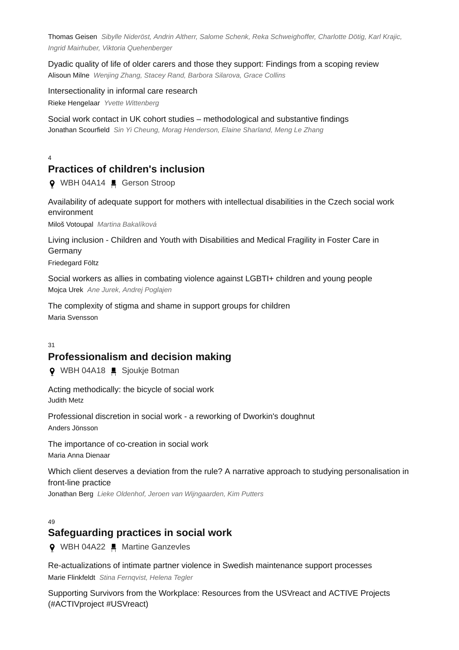Thomas Geisen *Sibylle Nideröst, Andrin Altherr, Salome Schenk, Reka Schweighoffer, Charlotte Dötig, Karl Krajic, Ingrid Mairhuber, Viktoria Quehenberger*

Dyadic quality of life of older carers and those they support: Findings from a scoping review Alisoun Milne *Wenjing Zhang, Stacey Rand, Barbora Silarova, Grace Collins*

Intersectionality in informal care research Rieke Hengelaar *Yvette Wittenberg*

Social work contact in UK cohort studies – methodological and substantive findings Jonathan Scourfield *Sin Yi Cheung, Morag Henderson, Elaine Sharland, Meng Le Zhang*

4

## **Practices of children's inclusion**

WBH 04A14 Gerson Stroop

Availability of adequate support for mothers with intellectual disabilities in the Czech social work environment

Miloš Votoupal *Martina Bakalíková*

Living inclusion - Children and Youth with Disabilities and Medical Fragility in Foster Care in Germany

Friedegard Föltz

Social workers as allies in combating violence against LGBTI+ children and young people Mojca Urek *Ane Jurek, Andrej Poglajen*

The complexity of stigma and shame in support groups for children Maria Svensson

#### 31

## **Professionalism and decision making**

**Q** WBH 04A18 ■ Sjoukje Botman

Acting methodically: the bicycle of social work Judith Metz

Professional discretion in social work - a reworking of Dworkin's doughnut Anders Jönsson

The importance of co-creation in social work Maria Anna Dienaar

Which client deserves a deviation from the rule? A narrative approach to studying personalisation in front-line practice

Jonathan Berg *Lieke Oldenhof, Jeroen van Wijngaarden, Kim Putters*

 $40$ 

## **Safeguarding practices in social work**

**9** WBH 04A22 ■ Martine Ganzevles

Re-actualizations of intimate partner violence in Swedish maintenance support processes Marie Flinkfeldt *Stina Fernqvist, Helena Tegler*

Supporting Survivors from the Workplace: Resources from the USVreact and ACTIVE Projects (#ACTIVproject #USVreact)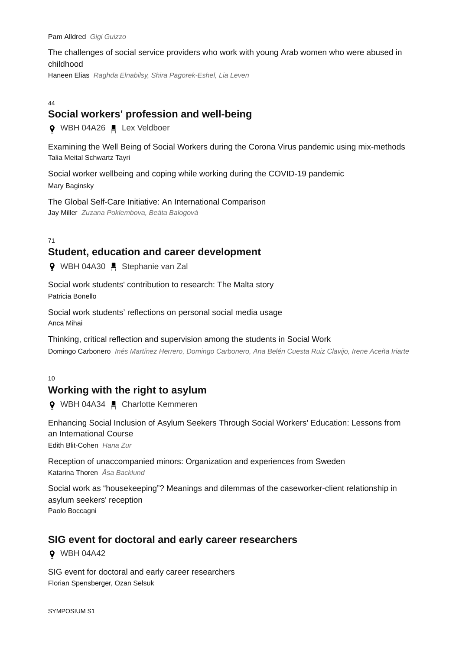Pam Alldred *Gigi Guizzo*

The challenges of social service providers who work with young Arab women who were abused in childhood

Haneen Elias *Raghda Elnabilsy, Shira Pagorek-Eshel, Lia Leven*

#### $\overline{A}A$

## **Social workers' profession and well-being**

**Q** WBH 04A26 ■ Lex Veldboer

Examining the Well Being of Social Workers during the Corona Virus pandemic using mix-methods Talia Meital Schwartz Tayri

Social worker wellbeing and coping while working during the COVID-19 pandemic Mary Baginsky

The Global Self-Care Initiative: An International Comparison Jay Miller *Zuzana Poklembova, Beáta Balogová*

71

## **Student, education and career development**

9 WBH 04A30 F Stephanie van Zal

Social work students' contribution to research: The Malta story Patricia Bonello

Social work students' reflections on personal social media usage Anca Mihai

Thinking, critical reflection and supervision among the students in Social Work Domingo Carbonero *Inés Martínez Herrero, Domingo Carbonero, Ana Belén Cuesta Ruiz Clavijo, Irene Aceña Iriarte*

 $10$ 

## **Working with the right to asylum**

WBH 04A34 Charlotte Kemmeren

Enhancing Social Inclusion of Asylum Seekers Through Social Workers' Education: Lessons from an International Course

Edith Blit-Cohen *Hana Zur*

Reception of unaccompanied minors: Organization and experiences from Sweden Katarina Thoren *Åsa Backlund*

Social work as "housekeeping"? Meanings and dilemmas of the caseworker-client relationship in asylum seekers' reception Paolo Boccagni

## **SIG event for doctoral and early career researchers**

WBH 04A42

SIG event for doctoral and early career researchers Florian Spensberger, Ozan Selsuk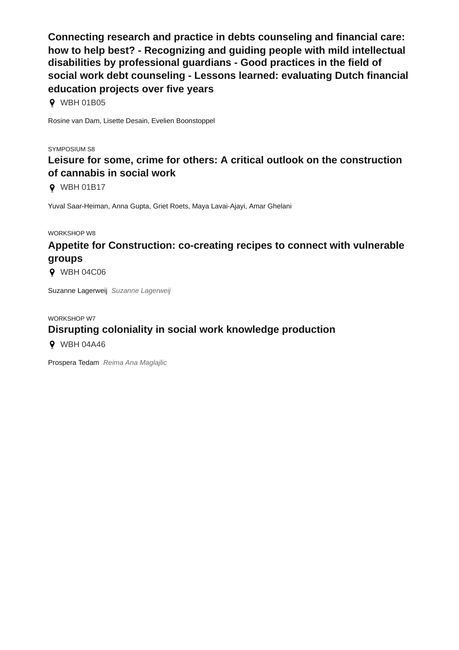**Connecting research and practice in debts counseling and financial care: how to help best? - Recognizing and guiding people with mild intellectual disabilities by professional guardians - Good practices in the field of social work debt counseling - Lessons learned: evaluating Dutch financial education projects over five years**

WBH 01B05

Rosine van Dam, Lisette Desain, Evelien Boonstoppel

SYMPOSIUM S8

## **Leisure for some, crime for others: A critical outlook on the construction of cannabis in social work**

**0** WBH 01B17

Yuval Saar-Heiman, Anna Gupta, Griet Roets, Maya Lavai-Ajayi, Amar Ghelani

WORKSHOP W8

## **Appetite for Construction: co-creating recipes to connect with vulnerable groups**

**9** WBH 04C06

Suzanne Lagerweij *Suzanne Lagerweij*

## WORKSHOP W7 **Disrupting coloniality in social work knowledge production**

**9** WBH 04A46

Prospera Tedam *Reima Ana Maglajlic*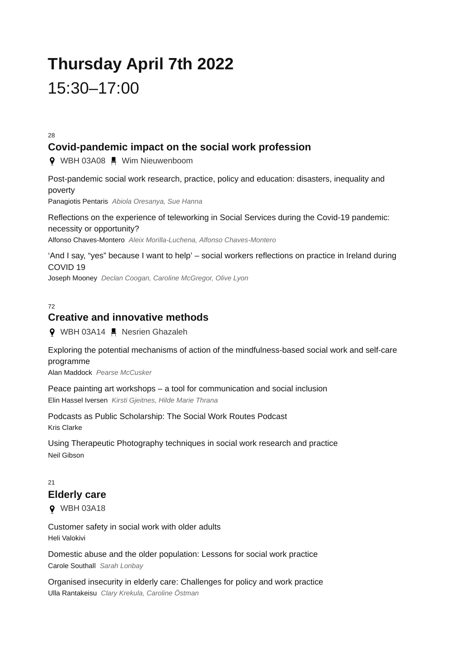# **Thursday April 7th 2022** 15:30–17:00

28

## **Covid-pandemic impact on the social work profession**

**♀** WBH 03A08 ■ Wim Nieuwenboom

Post-pandemic social work research, practice, policy and education: disasters, inequality and poverty Panagiotis Pentaris *Abiola Oresanya, Sue Hanna*

Reflections on the experience of teleworking in Social Services during the Covid-19 pandemic: necessity or opportunity? Alfonso Chaves-Montero *Aleix Morilla-Luchena, Alfonso Chaves-Montero*

'And I say, "yes" because I want to help' – social workers reflections on practice in Ireland during COVID 19

Joseph Mooney *Declan Coogan, Caroline McGregor, Olive Lyon*

#### $72$

## **Creative and innovative methods**

**9** WBH 03A14 H Nesrien Ghazaleh

Exploring the potential mechanisms of action of the mindfulness-based social work and self-care programme

Alan Maddock *Pearse McCusker*

Peace painting art workshops – a tool for communication and social inclusion Elin Hassel Iversen *Kirsti Gjeitnes, Hilde Marie Thrana*

Podcasts as Public Scholarship: The Social Work Routes Podcast Kris Clarke

Using Therapeutic Photography techniques in social work research and practice Neil Gibson

## $21$ **Elderly care**

**9** WBH 03A18

Customer safety in social work with older adults Heli Valokivi

Domestic abuse and the older population: Lessons for social work practice Carole Southall *Sarah Lonbay*

Organised insecurity in elderly care: Challenges for policy and work practice Ulla Rantakeisu *Clary Krekula, Caroline Östman*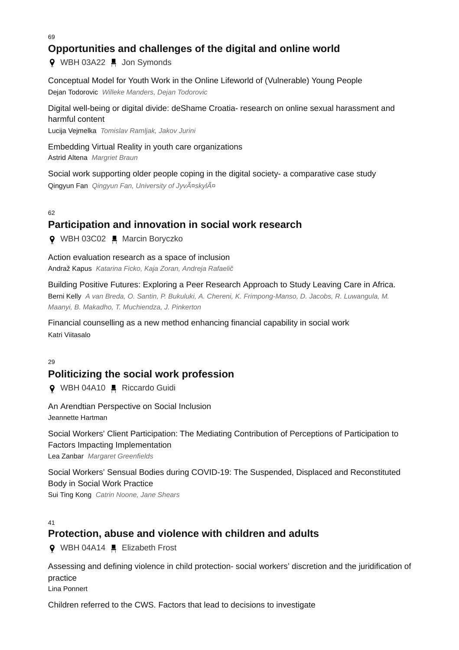69

## **Opportunities and challenges of the digital and online world**

**9** WBH 03A22 *L* Jon Symonds

Conceptual Model for Youth Work in the Online Lifeworld of (Vulnerable) Young People Dejan Todorovic *Willeke Manders, Dejan Todorovic*

Digital well-being or digital divide: deShame Croatia- research on online sexual harassment and harmful content

Lucija Vejmelka *Tomislav Ramljak, Jakov Jurini*

Embedding Virtual Reality in youth care organizations Astrid Altena *Margriet Braun*

Social work supporting older people coping in the digital society- a comparative case study Qingyun Fan *Qingyun Fan, University of Jyväskylä*

62

## **Participation and innovation in social work research**

**Q** WBH 03C02 Marcin Boryczko

Action evaluation research as a space of inclusion

Andraž Kapus *Katarina Ficko, Kaja Zoran, Andreja Rafaelič*

Building Positive Futures: Exploring a Peer Research Approach to Study Leaving Care in Africa. Berni Kelly *A van Breda, O. Santin, P. Bukuluki, A. Chereni, K. Frimpong-Manso, D. Jacobs, R. Luwangula, M. Maanyi, B. Makadho, T. Muchiendza, J. Pinkerton*

Financial counselling as a new method enhancing financial capability in social work Katri Viitasalo

 $29$ 

## **Politicizing the social work profession**

**Q** WBH 04A10 **E** Riccardo Guidi

An Arendtian Perspective on Social Inclusion Jeannette Hartman

Social Workers' Client Participation: The Mediating Contribution of Perceptions of Participation to Factors Impacting Implementation

Lea Zanbar *Margaret Greenfields*

Social Workers' Sensual Bodies during COVID-19: The Suspended, Displaced and Reconstituted Body in Social Work Practice

Sui Ting Kong *Catrin Noone, Jane Shears*

 $\overline{A1}$ 

## **Protection, abuse and violence with children and adults**

WBH 04A14 Elizabeth Frost

Assessing and defining violence in child protection- social workers' discretion and the juridification of practice

Lina Ponnert

Children referred to the CWS. Factors that lead to decisions to investigate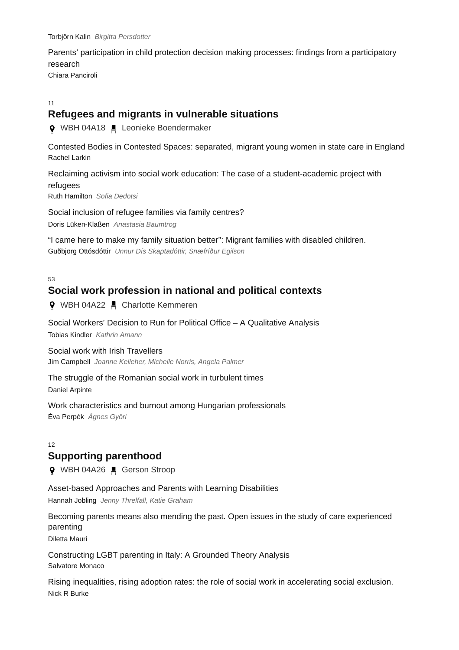Parents' participation in child protection decision making processes: findings from a participatory research Chiara Panciroli

#### 11

## **Refugees and migrants in vulnerable situations**

WBH 04A18 Leonieke Boendermaker

Contested Bodies in Contested Spaces: separated, migrant young women in state care in England Rachel Larkin

Reclaiming activism into social work education: The case of a student-academic project with refugees Ruth Hamilton *Sofia Dedotsi*

Social inclusion of refugee families via family centres?

Doris Lüken-Klaßen *Anastasia Baumtrog*

"I came here to make my family situation better": Migrant families with disabled children. Guðbjörg Ottósdóttir *Unnur Dís Skaptadóttir, Snæfríður Egilson*

53

## **Social work profession in national and political contexts**

**9** WBH 04A22 **.** Charlotte Kemmeren

Social Workers' Decision to Run for Political Office – A Qualitative Analysis Tobias Kindler *Kathrin Amann*

Social work with Irish Travellers Jim Campbell *Joanne Kelleher, Michelle Norris, Angela Palmer*

The struggle of the Romanian social work in turbulent times Daniel Arpinte

Work characteristics and burnout among Hungarian professionals Éva Perpék *Ágnes Győri*

#### 12

## **Supporting parenthood**

**Q** WBH 04A26 ■ Gerson Stroop

Asset-based Approaches and Parents with Learning Disabilities Hannah Jobling *Jenny Threlfall, Katie Graham*

Becoming parents means also mending the past. Open issues in the study of care experienced parenting

Diletta Mauri

Constructing LGBT parenting in Italy: A Grounded Theory Analysis Salvatore Monaco

Rising inequalities, rising adoption rates: the role of social work in accelerating social exclusion. Nick R Burke